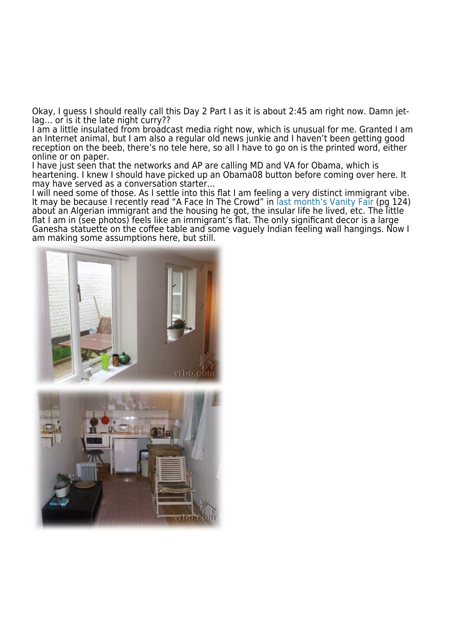Okay, I guess I should really call this Day 2 Part I as it is about 2:45 am right now. Damn jetlag... or is it the late night curry??

I am a little insulated from broadcast media right now, which is unusual for me. Granted I am an Internet animal, but I am also a regular old news junkie and I haven't been getting good reception on the beeb, there's no tele here, so all I have to go on is the printed word, either online or on paper.

I have just seen that the networks and AP are calling MD and VA for Obama, which is heartening. I knew I should have picked up an Obama08 button before coming over here. It may have served as a conversation starter…

I will need some of those. As I settle into this flat I am feeling a very distinct immigrant vibe. It may be because I recently read "A Face In The Crowd" in [last month's Vanity Fair](http://www.vanityfair.com/magazine/toc/2008/toc200802) (pg 124) about an Algerian immigrant and the housing he got, the insular life he lived, etc. The little flat I am in (see photos) feels like an immigrant's flat. The only significant decor is a large Ganesha statuette on the coffee table and some vaguely Indian feeling wall hangings. Now I [am making some assumptions here, but still.](http://www.fortunespawn.com/wp-content/uploads/2008/02/regentspark-a.jpeg)



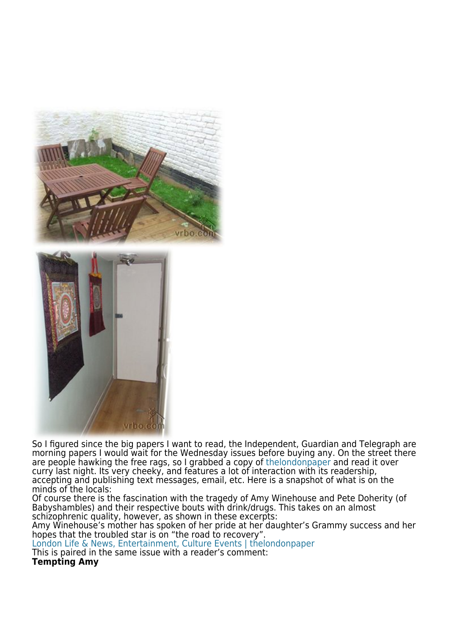

So I figured since the big papers I want to read, the Independent, Guardian and Telegraph are morning papers I would wait for the Wednesday issues before buying any. On the street there are people hawking the free rags, so I grabbed a copy of [thelondonpaper](http://www.thelondonpaper.com) and read it over curry last night. Its very cheeky, and features a lot of interaction with its readership, accepting and publishing text messages, email, etc. Here is a snapshot of what is on the minds of the locals:

Of course there is the fascination with the tragedy of Amy Winehouse and Pete Doherity (of Babyshambles) and their respective bouts with drink/drugs. This takes on an almost schizophrenic quality, however, as shown in these excerpts:

Amy Winehouse's mother has spoken of her pride at her daughter's Grammy success and her hopes that the troubled star is on "the road to recovery".

[London Life & News, Entertainment, Culture Events | thelondonpaper](http://www.thelondonpaper.com/cs/Satellite/london/news?packedargs=categoryId%3D1154957617969) This is paired in the same issue with a reader's comment:

**Tempting Amy**